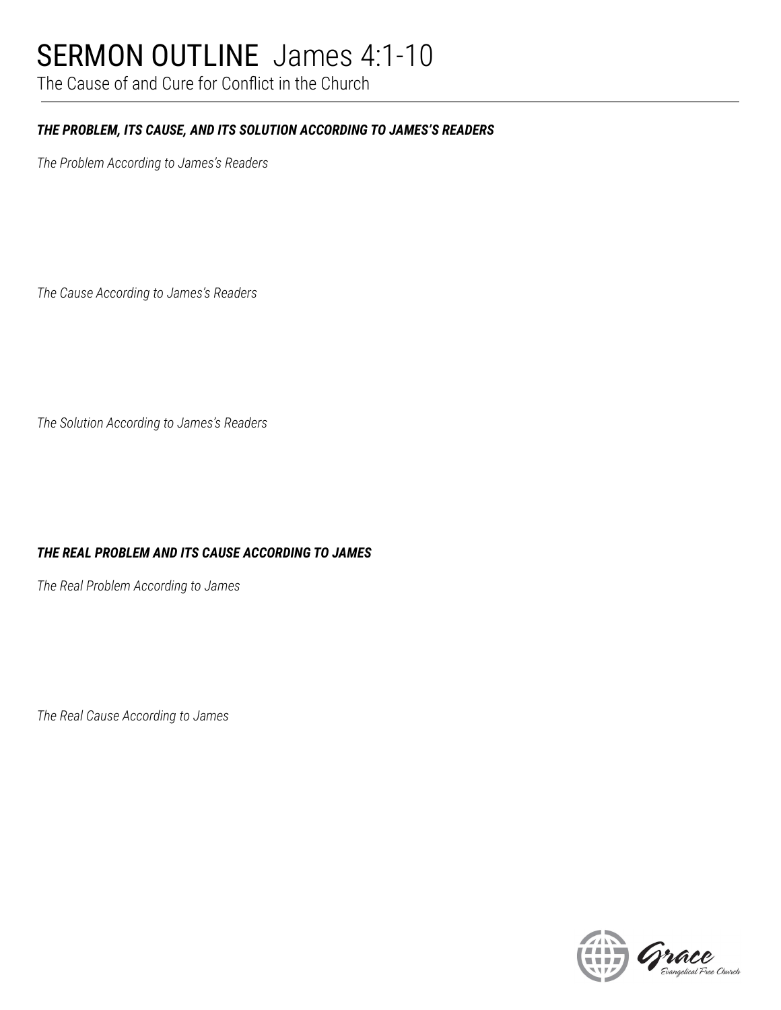## SERMON OUTLINE James 4:1-10

The Cause of and Cure for Conflict in the Church

#### *THE PROBLEM, ITS CAUSE, AND ITS SOLUTION ACCORDING TO JAMES'S READERS*

*The Problem According to James's Readers*

*The Cause According to James's Readers*

*The Solution According to James's Readers*

#### *THE REAL PROBLEM AND ITS CAUSE ACCORDING TO JAMES*

*The Real Problem According to James*

*The Real Cause According to James*